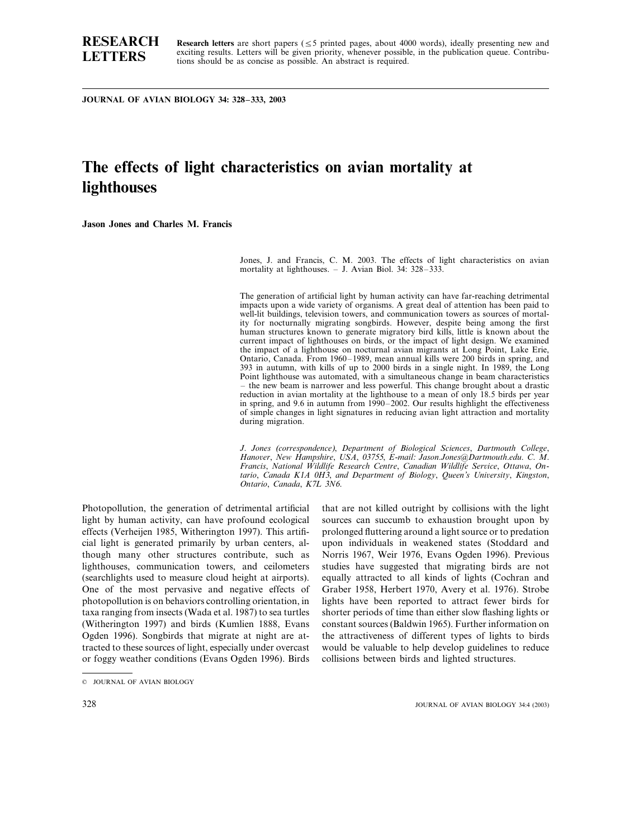## **RESEARCH LETTERS**

Research letters are short papers ( $\leq$ 5 printed pages, about 4000 words), ideally presenting new and exciting results. Letters will be given priority, whenever possible, in the publication queue. Contributions should be as concise as possible. An abstract is required.

**JOURNAL OF AVIAN BIOLOGY 34: 328–333, 2003**

# **The effects of light characteristics on avian mortality at lighthouses**

**Jason Jones and Charles M. Francis**

Jones, J. and Francis, C. M. 2003. The effects of light characteristics on avian mortality at lighthouses. – J. Avian Biol. 34: 328–333.

The generation of artificial light by human activity can have far-reaching detrimental impacts upon a wide variety of organisms. A great deal of attention has been paid to well-lit buildings, television towers, and communication towers as sources of mortality for nocturnally migrating songbirds. However, despite being among the first human structures known to generate migratory bird kills, little is known about the current impact of lighthouses on birds, or the impact of light design. We examined the impact of a lighthouse on nocturnal avian migrants at Long Point, Lake Erie, Ontario, Canada. From 1960–1989, mean annual kills were 200 birds in spring, and 393 in autumn, with kills of up to 2000 birds in a single night. In 1989, the Long Point lighthouse was automated, with a simultaneous change in beam characteristics – the new beam is narrower and less powerful. This change brought about a drastic reduction in avian mortality at the lighthouse to a mean of only 18.5 birds per year in spring, and 9.6 in autumn from 1990–2002. Our results highlight the effectiveness of simple changes in light signatures in reducing avian light attraction and mortality during migration.

*J*. *Jones* (*correspondence*), *Department of Biological Sciences*, *Dartmouth College*, *Hanoer*, *New Hampshire*, *USA*, <sup>03755</sup>, *E*-*mail*: *Jason*.*Jones@Dartmouth*.*edu*. *C*. *M*. *Francis*, *National Wildlife Research Centre*, *Canadian Wildlife Serice*, *Ottawa*, *Ontario*, *Canada K*1*A* <sup>0</sup>*H*3, *and Department of Biology*, *Queen*'*s Uniersity*, *Kingston*, *Ontario*, *Canada*, *K*7*L* 3*N*6.

Photopollution, the generation of detrimental artificial light by human activity, can have profound ecological effects (Verheijen 1985, Witherington 1997). This artificial light is generated primarily by urban centers, although many other structures contribute, such as lighthouses, communication towers, and ceilometers (searchlights used to measure cloud height at airports). One of the most pervasive and negative effects of photopollution is on behaviors controlling orientation, in taxa ranging from insects (Wada et al. 1987) to sea turtles (Witherington 1997) and birds (Kumlien 1888, Evans Ogden 1996). Songbirds that migrate at night are attracted to these sources of light, especially under overcast or foggy weather conditions (Evans Ogden 1996). Birds

that are not killed outright by collisions with the light sources can succumb to exhaustion brought upon by prolonged fluttering around a light source or to predation upon individuals in weakened states (Stoddard and Norris 1967, Weir 1976, Evans Ogden 1996). Previous studies have suggested that migrating birds are not equally attracted to all kinds of lights (Cochran and Graber 1958, Herbert 1970, Avery et al. 1976). Strobe lights have been reported to attract fewer birds for shorter periods of time than either slow flashing lights or constant sources (Baldwin 1965). Further information on the attractiveness of different types of lights to birds would be valuable to help develop guidelines to reduce collisions between birds and lighted structures.

<sup>©</sup> JOURNAL OF AVIAN BIOLOGY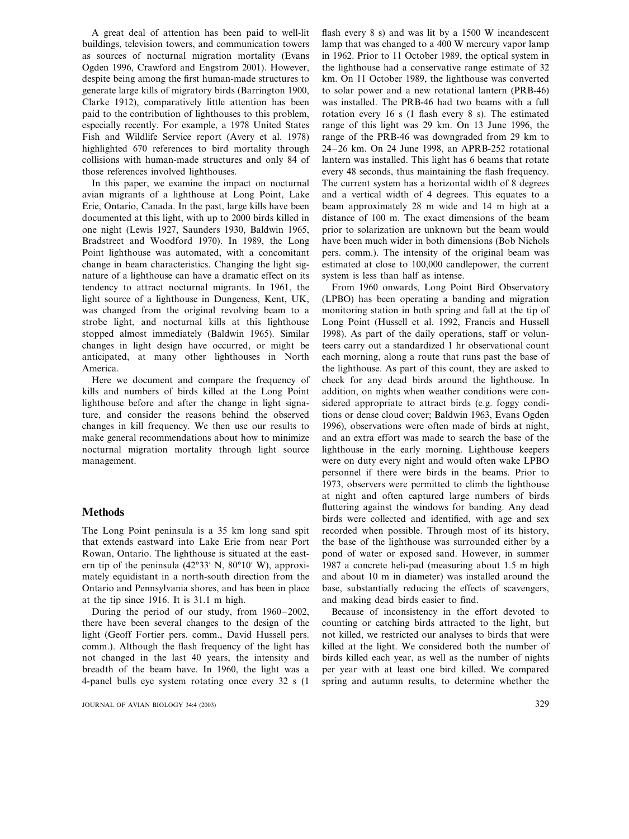A great deal of attention has been paid to well-lit buildings, television towers, and communication towers as sources of nocturnal migration mortality (Evans Ogden 1996, Crawford and Engstrom 2001). However, despite being among the first human-made structures to generate large kills of migratory birds (Barrington 1900, Clarke 1912), comparatively little attention has been paid to the contribution of lighthouses to this problem, especially recently. For example, a 1978 United States Fish and Wildlife Service report (Avery et al. 1978) highlighted 670 references to bird mortality through collisions with human-made structures and only 84 of those references involved lighthouses.

In this paper, we examine the impact on nocturnal avian migrants of a lighthouse at Long Point, Lake Erie, Ontario, Canada. In the past, large kills have been documented at this light, with up to 2000 birds killed in one night (Lewis 1927, Saunders 1930, Baldwin 1965, Bradstreet and Woodford 1970). In 1989, the Long Point lighthouse was automated, with a concomitant change in beam characteristics. Changing the light signature of a lighthouse can have a dramatic effect on its tendency to attract nocturnal migrants. In 1961, the light source of a lighthouse in Dungeness, Kent, UK, was changed from the original revolving beam to a strobe light, and nocturnal kills at this lighthouse stopped almost immediately (Baldwin 1965). Similar changes in light design have occurred, or might be anticipated, at many other lighthouses in North America.

Here we document and compare the frequency of kills and numbers of birds killed at the Long Point lighthouse before and after the change in light signature, and consider the reasons behind the observed changes in kill frequency. We then use our results to make general recommendations about how to minimize nocturnal migration mortality through light source management.

### **Methods**

The Long Point peninsula is a 35 km long sand spit that extends eastward into Lake Erie from near Port Rowan, Ontario. The lighthouse is situated at the eastern tip of the peninsula  $(42^{\circ}33' \text{ N}, 80^{\circ}10' \text{ W})$ , approximately equidistant in a north-south direction from the Ontario and Pennsylvania shores, and has been in place at the tip since 1916. It is 31.1 m high.

During the period of our study, from 1960–2002, there have been several changes to the design of the light (Geoff Fortier pers. comm., David Hussell pers. comm.). Although the flash frequency of the light has not changed in the last 40 years, the intensity and breadth of the beam have. In 1960, the light was a 4-panel bulls eye system rotating once every 32 s (1

flash every 8 s) and was lit by a 1500 W incandescent lamp that was changed to a 400 W mercury vapor lamp in 1962. Prior to 11 October 1989, the optical system in the lighthouse had a conservative range estimate of 32 km. On 11 October 1989, the lighthouse was converted to solar power and a new rotational lantern (PRB-46) was installed. The PRB-46 had two beams with a full rotation every 16 s (1 flash every 8 s). The estimated range of this light was 29 km. On 13 June 1996, the range of the PRB-46 was downgraded from 29 km to 24–26 km. On 24 June 1998, an APRB-252 rotational lantern was installed. This light has 6 beams that rotate every 48 seconds, thus maintaining the flash frequency. The current system has a horizontal width of 8 degrees and a vertical width of 4 degrees. This equates to a beam approximately 28 m wide and 14 m high at a distance of 100 m. The exact dimensions of the beam prior to solarization are unknown but the beam would have been much wider in both dimensions (Bob Nichols pers. comm.). The intensity of the original beam was estimated at close to 100,000 candlepower, the current system is less than half as intense.

From 1960 onwards, Long Point Bird Observatory (LPBO) has been operating a banding and migration monitoring station in both spring and fall at the tip of Long Point (Hussell et al. 1992, Francis and Hussell 1998). As part of the daily operations, staff or volunteers carry out a standardized 1 hr observational count each morning, along a route that runs past the base of the lighthouse. As part of this count, they are asked to check for any dead birds around the lighthouse. In addition, on nights when weather conditions were considered appropriate to attract birds (e.g. foggy conditions or dense cloud cover; Baldwin 1963, Evans Ogden 1996), observations were often made of birds at night, and an extra effort was made to search the base of the lighthouse in the early morning. Lighthouse keepers were on duty every night and would often wake LPBO personnel if there were birds in the beams. Prior to 1973, observers were permitted to climb the lighthouse at night and often captured large numbers of birds fluttering against the windows for banding. Any dead birds were collected and identified, with age and sex recorded when possible. Through most of its history, the base of the lighthouse was surrounded either by a pond of water or exposed sand. However, in summer 1987 a concrete heli-pad (measuring about 1.5 m high and about 10 m in diameter) was installed around the base, substantially reducing the effects of scavengers, and making dead birds easier to find.

Because of inconsistency in the effort devoted to counting or catching birds attracted to the light, but not killed, we restricted our analyses to birds that were killed at the light. We considered both the number of birds killed each year, as well as the number of nights per year with at least one bird killed. We compared spring and autumn results, to determine whether the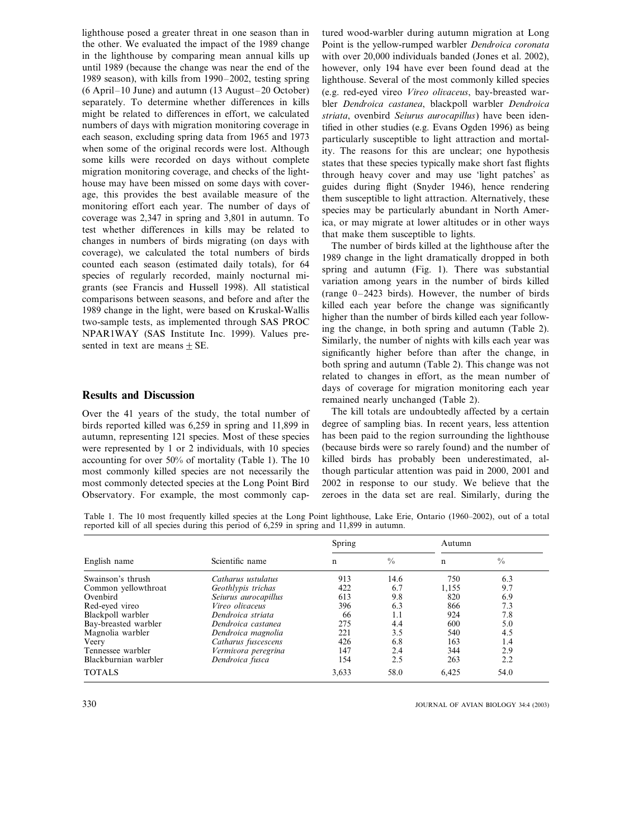lighthouse posed a greater threat in one season than in the other. We evaluated the impact of the 1989 change in the lighthouse by comparing mean annual kills up until 1989 (because the change was near the end of the 1989 season), with kills from 1990–2002, testing spring (6 April–10 June) and autumn (13 August–20 October) separately. To determine whether differences in kills might be related to differences in effort, we calculated numbers of days with migration monitoring coverage in each season, excluding spring data from 1965 and 1973 when some of the original records were lost. Although some kills were recorded on days without complete migration monitoring coverage, and checks of the lighthouse may have been missed on some days with coverage, this provides the best available measure of the monitoring effort each year. The number of days of coverage was 2,347 in spring and 3,801 in autumn. To test whether differences in kills may be related to changes in numbers of birds migrating (on days with coverage), we calculated the total numbers of birds counted each season (estimated daily totals), for 64 species of regularly recorded, mainly nocturnal migrants (see Francis and Hussell 1998). All statistical comparisons between seasons, and before and after the 1989 change in the light, were based on Kruskal-Wallis two-sample tests, as implemented through SAS PROC NPAR1WAY (SAS Institute Inc. 1999). Values presented in text are means  $\pm$  SE.

#### **Results and Discussion**

Over the 41 years of the study, the total number of birds reported killed was 6,259 in spring and 11,899 in autumn, representing 121 species. Most of these species were represented by 1 or 2 individuals, with 10 species accounting for over 50% of mortality (Table 1). The 10 most commonly killed species are not necessarily the most commonly detected species at the Long Point Bird Observatory. For example, the most commonly cap-

tured wood-warbler during autumn migration at Long Point is the yellow-rumped warbler *Dendroica coronata* with over 20,000 individuals banded (Jones et al. 2002), however, only 194 have ever been found dead at the lighthouse. Several of the most commonly killed species (e.g. red-eyed vireo *Vireo oliaceus*, bay-breasted warbler *Dendroica castanea*, blackpoll warbler *Dendroica striata*, ovenbird *Seiurus aurocapillus*) have been identified in other studies (e.g. Evans Ogden 1996) as being particularly susceptible to light attraction and mortality. The reasons for this are unclear; one hypothesis states that these species typically make short fast flights through heavy cover and may use 'light patches' as guides during flight (Snyder 1946), hence rendering them susceptible to light attraction. Alternatively, these species may be particularly abundant in North America, or may migrate at lower altitudes or in other ways that make them susceptible to lights.

The number of birds killed at the lighthouse after the 1989 change in the light dramatically dropped in both spring and autumn (Fig. 1). There was substantial variation among years in the number of birds killed (range 0–2423 birds). However, the number of birds killed each year before the change was significantly higher than the number of birds killed each year following the change, in both spring and autumn (Table 2). Similarly, the number of nights with kills each year was significantly higher before than after the change, in both spring and autumn (Table 2). This change was not related to changes in effort, as the mean number of days of coverage for migration monitoring each year remained nearly unchanged (Table 2).

The kill totals are undoubtedly affected by a certain degree of sampling bias. In recent years, less attention has been paid to the region surrounding the lighthouse (because birds were so rarely found) and the number of killed birds has probably been underestimated, although particular attention was paid in 2000, 2001 and 2002 in response to our study. We believe that the zeroes in the data set are real. Similarly, during the

Table 1. The 10 most frequently killed species at the Long Point lighthouse, Lake Erie, Ontario (1960–2002), out of a total reported kill of all species during this period of 6,259 in spring and 11,899 in autumn.

| English name         | Scientific name        | Spring |               | Autumn |               |  |
|----------------------|------------------------|--------|---------------|--------|---------------|--|
|                      |                        | n      | $\frac{0}{0}$ | n      | $\frac{0}{0}$ |  |
| Swainson's thrush    | Catharus ustulatus     | 913    | 14.6          | 750    | 6.3           |  |
| Common yellowthroat  | Geothlypis trichas     | 422    | 6.7           | 1,155  | 9.7           |  |
| Ovenbird             | Seiurus aurocapillus   | 613    | 9.8           | 820    | 6.9           |  |
| Red-eyed vireo       | <i>Vireo olivaceus</i> | 396    | 6.3           | 866    | 7.3           |  |
| Blackpoll warbler    | Dendroica striata      | 66     | 1.1           | 924    | 7.8           |  |
| Bay-breasted warbler | Dendroica castanea     | 275    | 4.4           | 600    | 5.0           |  |
| Magnolia warbler     | Dendroica magnolia     | 221    | 3.5           | 540    | 4.5           |  |
| Veery                | Catharus fuscescens    | 426    | 6.8           | 163    | 1.4           |  |
| Tennessee warbler    | Vermivora peregrina    | 147    | 2.4           | 344    | 2.9           |  |
| Blackburnian warbler | Dendroica fusca        | 154    | 2.5           | 263    | 2.2           |  |
| <b>TOTALS</b>        |                        | 3.633  | 58.0          | 6,425  | 54.0          |  |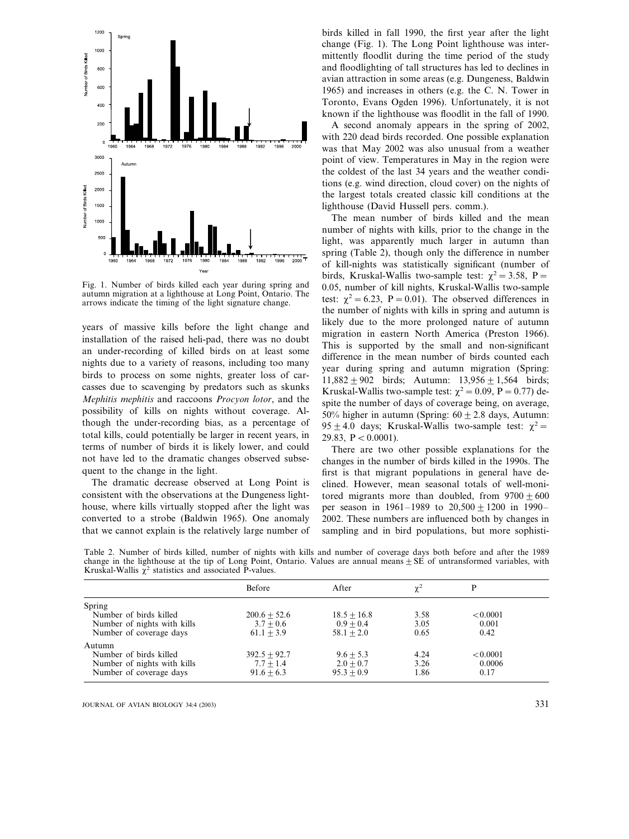

Fig. 1. Number of birds killed each year during spring and autumn migration at a lighthouse at Long Point, Ontario. The arrows indicate the timing of the light signature change.

years of massive kills before the light change and installation of the raised heli-pad, there was no doubt an under-recording of killed birds on at least some nights due to a variety of reasons, including too many birds to process on some nights, greater loss of carcasses due to scavenging by predators such as skunks *Mephitis mephitis* and raccoons *Procyon lotor*, and the possibility of kills on nights without coverage. Although the under-recording bias, as a percentage of total kills, could potentially be larger in recent years, in terms of number of birds it is likely lower, and could not have led to the dramatic changes observed subsequent to the change in the light.

The dramatic decrease observed at Long Point is consistent with the observations at the Dungeness lighthouse, where kills virtually stopped after the light was converted to a strobe (Baldwin 1965). One anomaly that we cannot explain is the relatively large number of

birds killed in fall 1990, the first year after the light change (Fig. 1). The Long Point lighthouse was intermittently floodlit during the time period of the study and floodlighting of tall structures has led to declines in avian attraction in some areas (e.g. Dungeness, Baldwin 1965) and increases in others (e.g. the C. N. Tower in Toronto, Evans Ogden 1996). Unfortunately, it is not known if the lighthouse was floodlit in the fall of 1990.

A second anomaly appears in the spring of 2002, with 220 dead birds recorded. One possible explanation was that May 2002 was also unusual from a weather point of view. Temperatures in May in the region were the coldest of the last 34 years and the weather conditions (e.g. wind direction, cloud cover) on the nights of the largest totals created classic kill conditions at the lighthouse (David Hussell pers. comm.).

The mean number of birds killed and the mean number of nights with kills, prior to the change in the light, was apparently much larger in autumn than spring (Table 2), though only the difference in number of kill-nights was statistically significant (number of birds, Kruskal-Wallis two-sample test:  $\chi^2 = 3.58$ , P = 0.05, number of kill nights, Kruskal-Wallis two-sample test:  $\chi^2 = 6.23$ , P = 0.01). The observed differences in the number of nights with kills in spring and autumn is likely due to the more prolonged nature of autumn migration in eastern North America (Preston 1966). This is supported by the small and non-significant difference in the mean number of birds counted each year during spring and autumn migration (Spring:  $11,882 \pm 902$  birds; Autumn:  $13,956 \pm 1,564$  birds; Kruskal-Wallis two-sample test:  $\chi^2 = 0.09$ , P = 0.77) despite the number of days of coverage being, on average, 50% higher in autumn (Spring:  $60 \pm 2.8$  days, Autumn: 95  $\pm$  4.0 days; Kruskal-Wallis two-sample test:  $\chi^2$  = 29.83,  $P < 0.0001$ ).

There are two other possible explanations for the changes in the number of birds killed in the 1990s. The first is that migrant populations in general have declined. However, mean seasonal totals of well-monitored migrants more than doubled, from  $9700 \pm 600$ per season in  $1961 - 1989$  to  $20,500 \pm 1200$  in  $1990 -$ 2002. These numbers are influenced both by changes in sampling and in bird populations, but more sophisti-

Table 2. Number of birds killed, number of nights with kills and number of coverage days both before and after the 1989 change in the lighthouse at the tip of Long Point, Ontario. Values are annual means  $\pm$  SE of untransformed variables, with Kruskal-Wallis  $\chi^2$  statistics and associated P-values.

|                                                            | Before         | After         | $\chi^2$ |          |  |
|------------------------------------------------------------|----------------|---------------|----------|----------|--|
| Spring                                                     |                |               |          |          |  |
| Number of birds killed                                     | $200.6 + 52.6$ | $18.5 + 16.8$ | 3.58     | < 0.0001 |  |
|                                                            | $3.7 + 0.6$    | $0.9 + 0.4$   | 3.05     | 0.001    |  |
| Number of coverage days                                    | $61.1 + 3.9$   | $58.1 + 2.0$  | 0.65     | 0.42     |  |
| Autumn                                                     |                |               |          |          |  |
| Number of birds killed                                     | $392.5 + 92.7$ | $9.6 + 5.3$   | 4.24     | < 0.0001 |  |
|                                                            | $7.7 + 1.4$    | $2.0 + 0.7$   | 3.26     | 0.0006   |  |
| Number of coverage days                                    | $91.6 + 6.3$   | $95.3 + 0.9$  | 1.86     | 0.17     |  |
| Number of nights with kills<br>Number of nights with kills |                |               |          |          |  |

JOURNAL OF AVIAN BIOLOGY 34:4 (2003) 331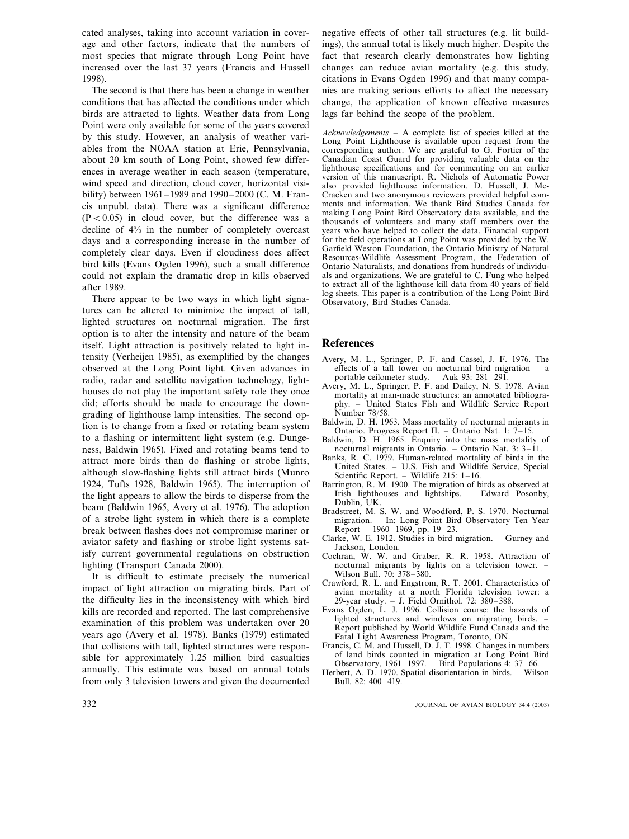cated analyses, taking into account variation in coverage and other factors, indicate that the numbers of most species that migrate through Long Point have increased over the last 37 years (Francis and Hussell 1998).

The second is that there has been a change in weather conditions that has affected the conditions under which birds are attracted to lights. Weather data from Long Point were only available for some of the years covered by this study. However, an analysis of weather variables from the NOAA station at Erie, Pennsylvania, about 20 km south of Long Point, showed few differences in average weather in each season (temperature, wind speed and direction, cloud cover, horizontal visibility) between 1961–1989 and 1990–2000 (C. M. Francis unpubl. data). There was a significant difference  $(P<0.05)$  in cloud cover, but the difference was a decline of 4% in the number of completely overcast days and a corresponding increase in the number of completely clear days. Even if cloudiness does affect bird kills (Evans Ogden 1996), such a small difference could not explain the dramatic drop in kills observed after 1989.

There appear to be two ways in which light signatures can be altered to minimize the impact of tall, lighted structures on nocturnal migration. The first option is to alter the intensity and nature of the beam itself. Light attraction is positively related to light intensity (Verheijen 1985), as exemplified by the changes observed at the Long Point light. Given advances in radio, radar and satellite navigation technology, lighthouses do not play the important safety role they once did; efforts should be made to encourage the downgrading of lighthouse lamp intensities. The second option is to change from a fixed or rotating beam system to a flashing or intermittent light system (e.g. Dungeness, Baldwin 1965). Fixed and rotating beams tend to attract more birds than do flashing or strobe lights, although slow-flashing lights still attract birds (Munro 1924, Tufts 1928, Baldwin 1965). The interruption of the light appears to allow the birds to disperse from the beam (Baldwin 1965, Avery et al. 1976). The adoption of a strobe light system in which there is a complete break between flashes does not compromise mariner or aviator safety and flashing or strobe light systems satisfy current governmental regulations on obstruction lighting (Transport Canada 2000).

It is difficult to estimate precisely the numerical impact of light attraction on migrating birds. Part of the difficulty lies in the inconsistency with which bird kills are recorded and reported. The last comprehensive examination of this problem was undertaken over 20 years ago (Avery et al. 1978). Banks (1979) estimated that collisions with tall, lighted structures were responsible for approximately 1.25 million bird casualties annually. This estimate was based on annual totals from only 3 television towers and given the documented

negative effects of other tall structures (e.g. lit buildings), the annual total is likely much higher. Despite the fact that research clearly demonstrates how lighting changes can reduce avian mortality (e.g. this study, citations in Evans Ogden 1996) and that many companies are making serious efforts to affect the necessary change, the application of known effective measures lags far behind the scope of the problem.

*Acknowledgements* – A complete list of species killed at the Long Point Lighthouse is available upon request from the corresponding author. We are grateful to G. Fortier of the Canadian Coast Guard for providing valuable data on the lighthouse specifications and for commenting on an earlier version of this manuscript. R. Nichols of Automatic Power also provided lighthouse information. D. Hussell, J. Mc-Cracken and two anonymous reviewers provided helpful comments and information. We thank Bird Studies Canada for making Long Point Bird Observatory data available, and the thousands of volunteers and many staff members over the years who have helped to collect the data. Financial support for the field operations at Long Point was provided by the W. Garfield Weston Foundation, the Ontario Ministry of Natural Resources-Wildlife Assessment Program, the Federation of Ontario Naturalists, and donations from hundreds of individuals and organizations. We are grateful to C. Fung who helped to extract all of the lighthouse kill data from 40 years of field log sheets. This paper is a contribution of the Long Point Bird Observatory, Bird Studies Canada.

#### **References**

- Avery, M. L., Springer, P. F. and Cassel, J. F. 1976. The effects of a tall tower on nocturnal bird migration – a portable ceilometer study. – Auk 93: 281–291.
- Avery, M. L., Springer, P. F. and Dailey, N. S. 1978. Avian mortality at man-made structures: an annotated bibliography. – United States Fish and Wildlife Service Report Number 78/58.
- Baldwin, D. H. 1963. Mass mortality of nocturnal migrants in Ontario. Progress Report II. – Ontario Nat. 1: 7–15.
- Baldwin, D. H. 1965. Enquiry into the mass mortality of nocturnal migrants in Ontario. – Ontario Nat. 3: 3–11.
- Banks, R. C. 1979. Human-related mortality of birds in the United States. – U.S. Fish and Wildlife Service, Special Scientific Report. – Wildlife 215: 1–16.
- Barrington, R.  $\dot{M}$ . 1900. The migration of birds as observed at Irish lighthouses and lightships. – Edward Posonby, Dublin, UK.
- Bradstreet, M. S. W. and Woodford, P. S. 1970. Nocturnal migration. – In: Long Point Bird Observatory Ten Year Report – 1960–1969, pp. 19–23.
- Clarke, W. E. 1912. Studies in bird migration. Gurney and Jackson, London.
- Cochran, W. W. and Graber, R. R. 1958. Attraction of nocturnal migrants by lights on a television tower. – Wilson Bull. 70: 378–380.
- Crawford, R. L. and Engstrom, R. T. 2001. Characteristics of avian mortality at a north Florida television tower: a 29-year study. – J. Field Ornithol. 72: 380–388.
- Evans Ogden, L. J. 1996. Collision course: the hazards of lighted structures and windows on migrating birds. – Report published by World Wildlife Fund Canada and the Fatal Light Awareness Program, Toronto, ON.
- Francis, C. M. and Hussell, D. J. T. 1998. Changes in numbers of land birds counted in migration at Long Point Bird Observatory, 1961–1997. – Bird Populations 4: 37–66.
- Herbert, A. D. 1970. Spatial disorientation in birds. Wilson Bull. 82: 400–419.